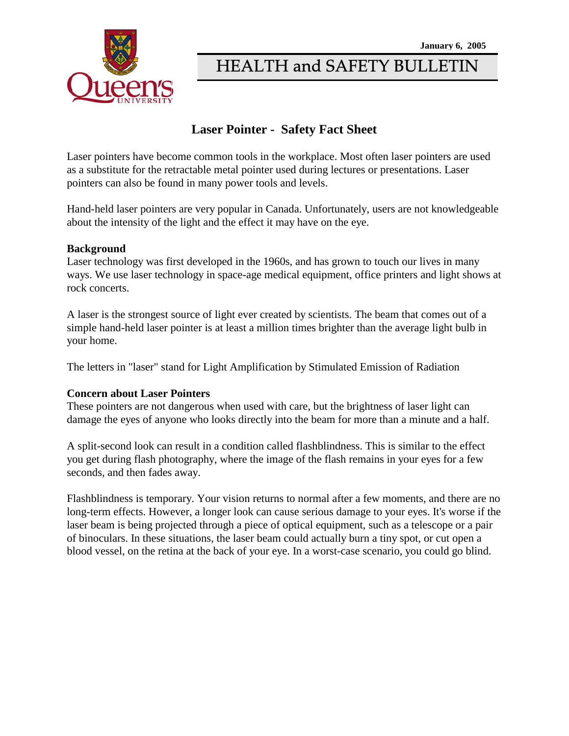

# HEALTH and SAFETY BULLETIN

## **Laser Pointer - Safety Fact Sheet**

Laser pointers have become common tools in the workplace. Most often laser pointers are used as a substitute for the retractable metal pointer used during lectures or presentations. Laser pointers can also be found in many power tools and levels.

Hand-held laser pointers are very popular in Canada. Unfortunately, users are not knowledgeable about the intensity of the light and the effect it may have on the eye.

### **Background**

Laser technology was first developed in the 1960s, and has grown to touch our lives in many ways. We use laser technology in space-age medical equipment, office printers and light shows at rock concerts.

A laser is the strongest source of light ever created by scientists. The beam that comes out of a simple hand-held laser pointer is at least a million times brighter than the average light bulb in your home.

The letters in "laser" stand for Light Amplification by Stimulated Emission of Radiation

### **Concern about Laser Pointers**

These pointers are not dangerous when used with care, but the brightness of laser light can damage the eyes of anyone who looks directly into the beam for more than a minute and a half.

A split-second look can result in a condition called flashblindness. This is similar to the effect you get during flash photography, where the image of the flash remains in your eyes for a few seconds, and then fades away.

Flashblindness is temporary. Your vision returns to normal after a few moments, and there are no long-term effects. However, a longer look can cause serious damage to your eyes. It's worse if the laser beam is being projected through a piece of optical equipment, such as a telescope or a pair of binoculars. In these situations, the laser beam could actually burn a tiny spot, or cut open a blood vessel, on the retina at the back of your eye. In a worst-case scenario, you could go blind.